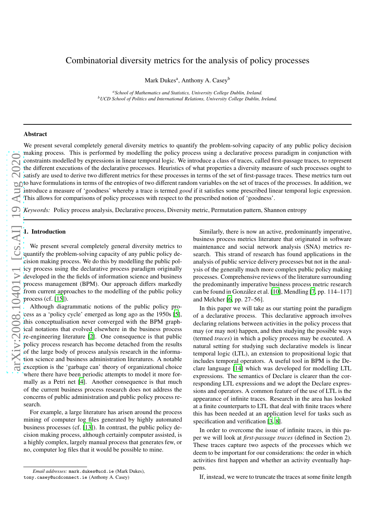# Combinatorial diversity metrics for the analysis of policy processes

Mark Dukes<sup>a</sup>, Anthony A. Casey<sup>b</sup>

*<sup>a</sup>School of Mathematics and Statistics, University College Dublin, Ireland. <sup>b</sup>UCD School of Politics and International Relations, University College Dublin, Ireland.*

# Abstract

We present several completely general diversity metrics to quantify the problem-solving capacity of any public policy decision making process. This is performed by modelling the policy process using a declarative process paradigm in conjunction with constraints modelled by expressions in linear temporal logic. We introduce a class of traces, called first-passage traces, to represent the different executions of the declarative processes. Heuristics of what properties a diversity measure of such processes ought to satisfy are used to derive two different metrics for these processes in terms of the set of first-passage traces. These metrics turn out to have formulations in terms of the entropies of two different random variables on the set of traces of the processes. In addition, we introduce a measure of 'goodness' whereby a trace is termed *good* if it satisfies some prescribed linear temporal logic expression. This allows for comparisons of policy processes with respect to the prescribed notion of 'goodness'.

*Keywords:* Policy process analysis, Declarative process, Diversity metric, Permutation pattern, Shannon entropy

#### 1. Introduction

We present several completely general diversity metrics to quantify the problem-solving capacity of any public policy decision making process. We do this by modelling the public policy process using the declarative process paradigm originally developed in the the fields of information science and business process management (BPM). Our approach differs markedly from current approaches to the modelling of the public policy process (cf. [\[15](#page-7-0)]).

Although diagrammatic notions of the public policy process as a 'policy cycle' emerged as long ago as the 1950s [\[5\]](#page-7-1), this conceptualisation never converged with the BPM graphical notations that evolved elsewhere in the business process re-engineering literature [\[2](#page-7-2)]. One consequence is that public policy process research has become detached from the results of the large body of process analysis research in the information science and business administration literatures. A notable exception is the 'garbage can' theory of organizational choice where there have been periodic attempts to model it more formally as a Petri net [\[4](#page-7-3)]. Another consequence is that much of the current business process research does not address the concerns of public administration and public policy process research.

For example, a large literature has arisen around the process mining of computer log files generated by highly automated business processes (cf. [\[13\]](#page-7-4)). In contrast, the public policy decision making process, although certainly computer assisted, is a highly complex, largely manual process that generates few, or no, computer log files that it would be possible to mine.

Similarly, there is now an active, predominantly imperative, business process metrics literature that originated in software maintenance and social network analysis (SNA) metrics research. This strand of research has found applications in the analysis of public service delivery processes but not in the analysis of the generally much more complex public policy making processes. Comprehensive reviews of the literature surrounding the predominantly imperative business process metric research can be found in González et al. [\[10\]](#page-7-5), Mendling [\[7,](#page-7-6) pp. 114–117] and Melcher [\[6,](#page-7-7) pp. 27–56].

In this paper we will take as our starting point the paradigm of a declarative process. This declarative approach involves declaring relations between activities in the policy process that may (or may not) happen, and then studying the possible ways (termed *traces*) in which a policy process may be executed. A natural setting for studying such declarative models is linear temporal logic (LTL), an extension to propositional logic that includes temporal operators. A useful tool in BPM is the Declare language [\[14\]](#page-7-8) which was developed for modelling LTL expressions. The semantics of Declare is clearer than the corresponding LTL expressions and we adopt the Declare expressions and operators. A common feature of the use of LTL is the appearance of infinite traces. Research in the area has looked at a finite counterparts to LTL that deal with finite traces where this has been needed at an application level for tasks such as specification and verification [\[3](#page-7-9), [8](#page-7-10)].

In order to overcome the issue of infinite traces, in this paper we will look at *first-passage traces* (defined in Section 2). These traces capture two aspects of the processes which we deem to be important for our considerations: the order in which activities first happen and whether an activity eventually happens.

If, instead, we were to truncate the traces at some finite length

*Email addresses:* mark.dukes@ucd.ie (Mark Dukes), tony.casey@ucdconnect.ie (Anthony A. Casey)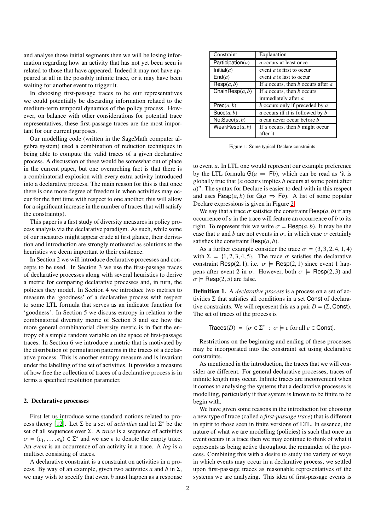and analyse those initial segments then we will be losing information regarding how an activity that has not yet been seen is related to those that have appeared. Indeed it may not have appeared at all in the possibly infinite trace, or it may have been waiting for another event to trigger it.

In choosing first-passage traces to be our representatives we could potentially be discarding information related to the medium-term temporal dynamics of the policy process. However, on balance with other considerations for potential trace representatives, these first-passage traces are the most important for our current purposes.

Our modelling code (written in the SageMath computer algebra system) used a combination of reduction techniques in being able to compute the valid traces of a given declarative process. A discussion of these would be somewhat out of place in the current paper, but one overarching fact is that there is a combinatorial explosion with every extra activity introduced into a declarative process. The main reason for this is that once there is one more degree of freedom in when activities may occur for the first time with respect to one another, this will allow for a significant increase in the number of traces that will satisfy the constraint(s).

This paper is a first study of diversity measures in policy process analysis via the declarative paradigm. As such, while some of our measures might appear crude at first glance, their derivation and introduction are strongly motivated as solutions to the heuristics we deem important to their existence.

In Section 2 we will introduce declarative processes and concepts to be used. In Section 3 we use the first-passage traces of declarative processes along with several heuristics to derive a metric for comparing declarative processes and, in turn, the policies they model. In Section 4 we introduce two metrics to measure the 'goodness' of a declarative process with respect to some LTL formula that serves as an indicator function for 'goodness'. In Section 5 we discuss entropy in relation to the combinatorial diversity metric of Section 3 and see how the more general combinatorial diversity metric is in fact the entropy of a simple random variable on the space of first-passage traces. In Section 6 we introduce a metric that is motivated by the distribution of permutation patterns in the traces of a declarative process. This is another entropy measure and is invariant under the labelling of the set of activities. It provides a measure of how free the collection of traces of a declarative process is in terms a specified resolution parameter.

#### 2. Declarative processes

First let us introduce some standard notions related to pro-cess theory [\[12](#page-7-11)]. Let  $\Sigma$  be a set of *activities* and let  $\Sigma^*$  be the set of all sequences over  $\Sigma$ . A *trace* is a sequence of activities  $\sigma = (e_1, \ldots, e_n) \in \Sigma^*$  and we use  $\epsilon$  to denote the empty trace. An *event* is an occurrence of an activity in a trace. A *log* is a multiset consisting of traces.

A declarative constraint is a constraint on activities in a process. By way of an example, given two activities *a* and *b* in Σ, we may wish to specify that event *b* must happen as a response

| Constraint           | Explanation                              |
|----------------------|------------------------------------------|
| Participation( $a$ ) | <i>a</i> occurs at least once            |
| Initial(a)           | event <i>a</i> is first to occur         |
| End(a)               | event $a$ is last to occur               |
| $\mathsf{Resp}(a,b)$ | If a occurs, then b occurs after a       |
| ChainResp $(a, b)$   | If <i>a</i> occurs, then <i>b</i> occurs |
|                      | immediately after a                      |
| Prec(a, b)           | $b$ occurs only if preceded by $a$       |
| Succ(a, b)           | a occurs iff it is followed by b         |
| NotSucc(a, b)        | a can never occur before <i>b</i>        |
| WeakResp $(a, b)$    | If a occurs, then b might occur          |
|                      | after it                                 |

Figure 1: Some typical Declare constraints

to event *a*. In LTL one would represent our example preference by the LTL formula  $G(a \Rightarrow Fb)$ , which can be read as 'it is globally true that (*a* occurs implies *b* occurs at some point after *a*)". The syntax for Declare is easier to deal with in this respect and uses Resp( $a, b$ ) for  $G(a \Rightarrow Fb)$ . A list of some popular Declare expressions is given in Figure [2.](#page-1-0)

We say that a trace  $\sigma$  satisfies the constraint  $\text{Resp}(a, b)$  if any occurrence of *a* in the trace will feature an occurrence of *b* to its right. To represent this we write  $\sigma \models \text{Resp}(a, b)$ . It may be the case that *a* and *b* are not events in  $\sigma$ , in which case  $\sigma$  certainly satisfies the constraint  $\text{Resp}(a, b)$ .

As a further example consider the trace  $\sigma = (3, 3, 2, 4, 1, 4)$ with  $\Sigma = \{1, 2, 3, 4, 5\}$ . The trace  $\sigma$  satisfies the declarative constraint Resp(2, 1), i.e.  $\sigma \models \text{Resp}(2, 1)$  since event 1 happens after event 2 in  $\sigma$ . However, both  $\sigma \models \text{Resp}(2, 3)$  and  $\sigma \models \text{Resp}(2, 5)$  are false.

<span id="page-1-0"></span>Definition 1. A *declarative process* is a process on a set of activities Σ that satisfies all conditions in a set Const of declarative constraints. We will represent this as a pair  $D = (\Sigma,$  Const). The set of traces of the process is

$$
\text{Traces}(D) = \{ \sigma \in \Sigma^* \; : \; \sigma \models c \text{ for all } c \in \text{Const} \}.
$$

Restrictions on the beginning and ending of these processes may be incorporated into the constraint set using declarative constraints.

As mentioned in the introduction, the traces that we will consider are different. For general declarative processes, traces of infinite length may occur. Infinite traces are inconvenient when it comes to analysing the systems that a declarative processes is modelling, particularly if that system is known to be finite to be begin with.

We have given some reasons in the introduction for choosing a new type of trace (called a *first-passage trace*) that is different in spirit to those seen in finite versions of LTL. In essence, the nature of what we are modelling (policies) is such that once an event occurs in a trace then we may continue to think of what it represents as being active throughout the remainder of the process. Combining this with a desire to study the variety of ways in which events may occur in a declarative process, we settled upon first-passage traces as reasonable representatives of the systems we are analyzing. This idea of first-passage events is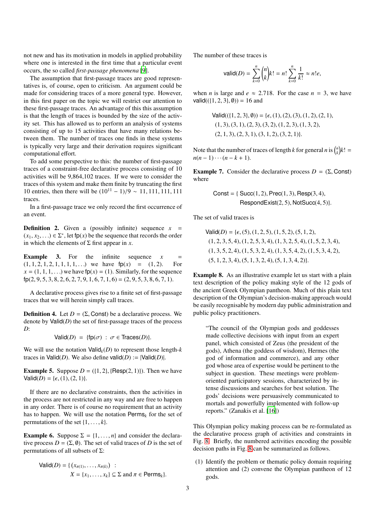not new and has its motivation in models in applied probability where one is interested in the first time that a particular event occurs, the so called *first-passage phenomena* [\[9\]](#page-7-12).

The assumption that first-passage traces are good representatives is, of course, open to criticism. An argument could be made for considering traces of a more general type. However, in this first paper on the topic we will restrict our attention to these first-passage traces. An advantage of this this assumption is that the length of traces is bounded by the size of the activity set. This has allowed us to perform an analysis of systems consisting of up to 15 activities that have many relations between them. The number of traces one finds in these systems is typically very large and their derivation requires significant computational effort.

To add some perspective to this: the number of first-passage traces of a constraint-free declarative process consisting of 10 activities will be 9,864,102 traces. If we were to consider the traces of this system and make them finite by truncating the first 10 entries, then there will be  $(10^{11} – 1)/9$  ~ 11, 111, 111, 111 traces.

In a first-passage trace we only record the first occurrence of an event.

**Definition 2.** Given a (possibly infinite) sequence  $x =$  $(x_1, x_2, ...) \in \Sigma^*$ , let fp $(x)$  be the sequence that records the order in which the elements of  $\Sigma$  first appear in *x*.

**Example 3.** For the infinite sequence  $x =$  $(1, 1, 2, 1, 2, 1, 1, 1, 1, ...)$  we have  $fp(x) = (1, 2)$ . For  $x = (1, 1, 1, ...)$  we have  $fp(x) = (1)$ . Similarly, for the sequence  $fp(2, 9, 5, 3, 8, 2, 6, 2, 7, 9, 1, 6, 7, 1, 6) = (2, 9, 5, 3, 8, 6, 7, 1).$ 

A declarative process gives rise to a finite set of first-passage traces that we will herein simply call traces.

**Definition 4.** Let  $D = (\Sigma, \text{Const})$  be a declarative process. We denote by **Valid**(*D*) the set of first-passage traces of the process *D*:

Valid( $D$ ) = {fp( $\sigma$ ) :  $\sigma \in \text{Traces}(D)$ }.

We will use the notation  $Valid_k(D)$  to represent those length- $k$ traces in Valid(*D*). We also define valid(*D*) :=  $|Val(dD)|$ .

**Example 5.** Suppose  $D = (\{1, 2\}, \{ \text{Resp}(2, 1) \})$ . Then we have  $Valid(D) = \{\epsilon, (1), (2, 1)\}.$ 

If there are no declarative constraints, then the activities in the process are not restricted in any way and are free to happen in any order. There is of course no requirement that an activity has to happen. We will use the notation  $\text{Perms}_k$  for the set of permutations of the set  $\{1, \ldots, k\}$ .

<span id="page-2-1"></span>**Example 6.** Suppose  $\Sigma = \{1, \ldots, n\}$  and consider the declarative process  $D = (\Sigma, \emptyset)$ . The set of valid traces of *D* is the set of permutations of all subsets of  $Σ$ :

$$
\text{Valid}(D) = \{ (x_{\pi(1)}, \dots, x_{\pi(k)}) : X = \{x_1, \dots, x_k\} \subseteq \Sigma \text{ and } \pi \in \text{Perms}_k \}.
$$

The number of these traces is

$$
\text{valid}(D) = \sum_{k=0}^{n} {n \choose k} k! = n! \sum_{k=0}^{n} \frac{1}{k!} \approx n! e,
$$

when *n* is large and  $e \approx 2.718$ . For the case  $n = 3$ , we have  $valid((\{1, 2, 3\}, \emptyset)) = 16$  and

$$
Valid((\{1, 2, 3\}, \emptyset)) = \{\epsilon, (1), (2), (3), (1, 2), (2, 1), (1, 3), (3, 1), (2, 3), (3, 2), (1, 2, 3), (1, 3, 2), (2, 1, 3), (2, 3, 1), (3, 1, 2), (3, 2, 1)\}.
$$

Note that the number of traces of length *k* for general *n* is  $\binom{n}{k}k!$  $n(n-1)\cdots(n-k+1).$ 

<span id="page-2-2"></span>Example 7. Consider the declarative process  $D = (\Sigma,$  Const) where

$$
Const = \{ \text{Succ}(1, 2), \text{Prec}(1, 3), \text{Resp}(3, 4), \\ \text{RespondExist}(2, 5), \text{NotSucc}(4, 5) \}.
$$

The set of valid traces is

 $Valid(D) = \{\epsilon, (5), (1, 2, 5), (1, 5, 2), (5, 1, 2),\}$  $(1, 2, 3, 5, 4), (1, 2, 5, 3, 4), (1, 3, 2, 5, 4), (1, 5, 2, 3, 4),$  $(1, 3, 5, 2, 4), (1, 5, 3, 2, 4), (1, 3, 5, 4, 2), (1, 5, 3, 4, 2),$  $(5, 1, 2, 3, 4), (5, 1, 3, 2, 4), (5, 1, 3, 4, 2)$ .

<span id="page-2-0"></span>Example 8. As an illustrative example let us start with a plain text description of the policy making style of the 12 gods of the ancient Greek Olympian pantheon. Much of this plain text description of the Olympian's decision-making approach would be easily recognisable by modern day public administration and public policy practitioners.

"The council of the Olympian gods and goddesses made collective decisions with input from an expert panel, which consisted of Zeus (the president of the gods), Athena (the goddess of wisdom), Hermes (the god of information and commerce), and any other god whose area of expertise would be pertinent to the subject in question. These meetings were problemoriented participatory sessions, characterized by intense discussions and searches for best solution. The gods' decisions were persuasively communicated to mortals and powerfully implemented with follow-up reports." (Zanakis et al. [\[16\]](#page-7-13))

This Olympian policy making process can be re-formulated as the declarative process graph of activities and constraints in Fig. [8.](#page-2-0) Briefly, the numbered activities encoding the possible decision paths in Fig. [8](#page-2-0) can be summarized as follows.

(1) Identify the problem or thematic policy domain requiring attention and (2) convene the Olympian pantheon of 12 gods.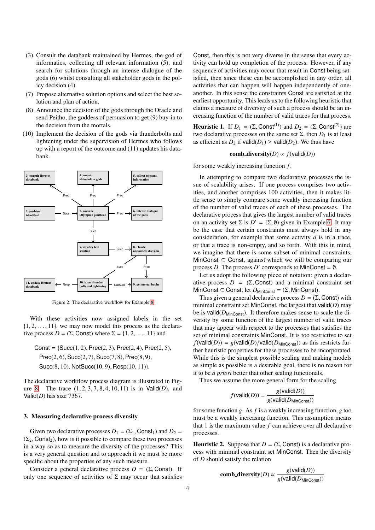- (3) Consult the databank maintained by Hermes, the god of informatics, collecting all relevant information (5), and search for solutions through an intense dialogue of the gods (6) whilst consulting all stakeholder gods in the policy decision (4).
- (7) Propose alternative solution options and select the best solution and plan of action.
- (8) Announce the decision of the gods through the Oracle and send Peitho, the goddess of persuasion to get (9) buy-in to the decision from the mortals.
- (10) Implement the decision of the gods via thunderbolts and lightening under the supervision of Hermes who follows up with a report of the outcome and (11) updates his databank.



Figure 2: The declarative workflow for Example [8](#page-2-0)

With these activities now assigned labels in the set  $\{1, 2, \ldots, 11\}$ , we may now model this process as the declarative process  $D = (\Sigma,$  Const) where  $\Sigma = \{1, 2, ..., 11\}$  and

Const =  ${Succ}(1, 2)$ , Prec $(2, 3)$ , Prec $(2, 4)$ , Prec $(2, 5)$ , Prec(2, 6), Succ(2, 7), Succ(7, 8), Prec(8, 9), Succ(8, 10), NotSucc(10, 9), Resp(10, 11)}.

The declarative workflow process diagram is illustrated in Figure [8.](#page-2-0) The trace (1, 2, 3, 7, 8, 4, 10, 11) is in Valid(*D*), and Valid(*D*) has size 7367.

#### 3. Measuring declarative process diversity

Given two declarative processes  $D_1 = (\Sigma_1, \text{Const}_1)$  and  $D_2 =$  $(\Sigma_2,$  Const<sub>2</sub>), how is it possible to compare these two processes in a way so as to measure the diversity of the processes? This is a very general question and to approach it we must be more specific about the properties of any such measure.

Consider a general declarative process  $D = (\Sigma,$  Const). If only one sequence of activities of  $\Sigma$  may occur that satisfies

Const, then this is not very diverse in the sense that every activity can hold up completion of the process. However, if any sequence of activities may occur that result in Const being satisfied, then since these can be accomplished in any order, all activities that can happen will happen independently of oneanother. In this sense the constraints Const are satisfied at the earliest opportunity. This leads us to the following heuristic that claims a measure of diversity of such a process should be an increasing function of the number of valid traces for that process.

**Heuristic 1.** If  $D_1 = (\Sigma, \text{Const}^{(1)})$  and  $D_2 = (\Sigma, \text{Const}^{(2)})$  are two declarative processes on the same set  $\Sigma$ , then  $D_1$  is at least as efficient as  $D_2$  if valid( $D_1$ )  $\geq$  valid( $D_2$ ). We thus have

# comb\_diversity( $D$ )  $\propto$   $f$ (valid( $D$ ))

for some weakly increasing function *f* .

In attempting to compare two declarative processes the issue of scalability arises. If one process comprises two activities, and another comprises 100 activities, then it makes little sense to simply compare some weakly increasing function of the number of valid traces of each of these processes. The declarative process that gives the largest number of valid traces on an activity set  $\Sigma$  is  $D' = (\Sigma, \emptyset)$  given in Example [6.](#page-2-1) It may be the case that certain constraints must always hold in any consideration, for example that some activity *a* is in a trace, or that a trace is non-empty, and so forth. With this in mind, we imagine that there is some subset of minimal constraints, MinConst  $\subseteq$  Const, against which we will be comparing our process *D*. The process *D'* corresponds to MinConst =  $\emptyset$ .

Let us adopt the following piece of notation: given a declarative process  $D = (\Sigma,$  Const) and a minimal constraint set MinConst ⊆ Const, let  $D_{MinConst} = (Σ, MinConst)$ .

Thus given a general declarative process  $D = (\Sigma,$  Const) with minimal constraint set MinConst, the largest that valid(*D*) may be is valid( $D_{\text{MinConst}}$ ). It therefore makes sense to scale the diversity by some function of the largest number of valid traces that may appear with respect to the processes that satisfies the set of minimal constraints MinConst. It is too restrictive to set  $f(\text{valid}(D)) = g(\text{valid}(D)/\text{valid}(D_{\text{MinConst}}))$  as this restricts further heuristic properties for these processes to be incorporated. While this is the simplest possible scaling and making models as simple as possible is a desirable goal, there is no reason for it to be *a priori* better that other scaling functionals.

Thus we assume the more general form for the scaling

$$
f(\text{valid}(D)) = \frac{g(\text{valid}(D))}{g(\text{valid}(D_{\text{MinConst}}))}
$$

for some function *g*. As *f* is a weakly increasing function, *g* too must be a weakly increasing function. This assumption means that 1 is the maximum value *f* can achieve over all declarative processes.

**Heuristic 2.** Suppose that  $D = (\Sigma, \text{Const})$  is a declarative process with minimal constraint set MinConst. Then the diversity of *D* should satisfy the relation

comb-diversity(D) 
$$
\propto \frac{g(\text{valid}(D))}{g(\text{valid}(D_{\text{MinConst}}))}
$$

*g*(valid(*D*))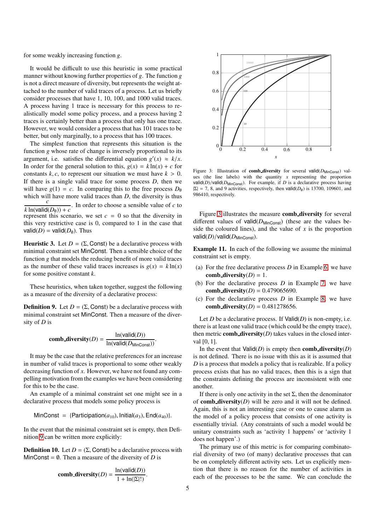for some weakly increasing function *g*.

It would be difficult to use this heuristic in some practical manner without knowing further properties of *g*. The function *g* is not a direct measure of diversity, but represents the weight attached to the number of valid traces of a process. Let us briefly consider processes that have 1, 10, 100, and 1000 valid traces. A process having 1 trace is necessary for this process to realistically model some policy process, and a process having 2 traces is certainly better than a process that only has one trace. However, we would consider a process that has 101 traces to be better, but only marginally, to a process that has 100 traces.

The simplest function that represents this situation is the function *g* whose rate of change is inversely proportional to its argument, i.e. satisfies the differential equation  $g'(x) \approx k/x$ . In order for the general solution to this,  $g(x) = k \ln(x) + c$  for constants  $k$ ,  $c$ , to represent our situation we must have  $k > 0$ . If there is a single valid trace for some process *D*, then we will have  $g(1) = c$ . In comparing this to the free process  $D_{\varnothing}$ which will have more valid traces than *D*, the diversity is thus *c*  $k \ln(\text{valid}(D_{\emptyset})) + c$ . In order to choose a sensible value of *c* to represent this scenario, we set  $c = 0$  so that the diversity in this very restrictive case is 0, compared to 1 in the case that valid( $D$ ) = valid( $D$ <sub>0</sub>). Thus

Heuristic 3. Let  $D = (\Sigma, \text{Const})$  be a declarative process with minimal constraint set MinConst. Then a sensible choice of the function *g* that models the reducing benefit of more valid traces as the number of these valid traces increases is  $g(x) = k \ln(x)$ for some positive constant *k*.

These heuristics, when taken together, suggest the following as a measure of the diversity of a declarative process:

<span id="page-4-0"></span>**Definition 9.** Let  $D = (\Sigma, \text{Const})$  be a declarative process with minimal constraint set MinConst. Then a measure of the diversity of *D* is

comb-diversity(D) = 
$$
\frac{\ln(\text{valid}(D))}{\ln(\text{valid}(D_{\text{MinConst}}))}.
$$

It may be the case that the relative preferences for an increase in number of valid traces is proportional to some other weakly decreasing function of *x*. However, we have not found any compelling motivation from the examples we have been considering for this to be the case.

An example of a minimal constraint set one might see in a declarative process that models some policy process is

MinConst = {Participation( $a_{10}$ ), Initial( $a_3$ ), End( $a_{40}$ )}.

In the event that the minimal constraint set is empty, then Definition [9](#page-4-0) can be written more explicitly:

<span id="page-4-1"></span>**Definition 10.** Let  $D = (\Sigma, \text{Const})$  be a declarative process with MinConst =  $\emptyset$ . Then a measure of the diversity of *D* is

comb-diversity(D) = 
$$
\frac{\ln(\text{valid}(D))}{1 + \ln(|\Sigma|!)}.
$$



Figure 3: Illustration of **comb diversity** for several valid( $D_{\text{MinConst}}$ ) values (the line labels) with the quantity  $\bar{x}$  representing the proportion valid( $D$ )/valid( $D_{\text{MinConst}}$ ). For example, if  $D$  is a declarative process having  $|\Sigma| = 7$ , 8, and 9 activities, respectively, then valid(*D*<sub>0</sub>) is 13700, 109601, and 986410, respectively.

Figure [3](#page-4-1) illustrates the measure comb diversity for several different values of valid $(D_{\text{MinConst}})$  (these are the values beside the coloured lines), and the value of  $x$  is the proportion valid(*D*)/valid(*D*<sub>MinConst</sub>).

Example 11. In each of the following we assume the minimal constraint set is empty.

- (a) For the free declarative process *D* in Example [6,](#page-2-1) we have comb diversity( $D$ ) = 1.
- (b) For the declarative process *D* in Example [7,](#page-2-2) we have **comb\_diversity**( $D$ ) = 0.479065690.
- (c) For the declarative process *D* in Example [8,](#page-2-0) we have comb\_diversity( $D$ ) = 0.481278656.

Let *D* be a declarative process. If  $Val(d(D))$  is non-empty, i.e. there is at least one valid trace (which could be the empty trace), then metric **comb\_diversity** $(D)$  takes values in the closed interval [0, 1].

In the event that  $Valid(D)$  is empty then **comb diversity** $(D)$ is not defined. There is no issue with this as it is assumed that *D* is a process that models a policy that is realizable. If a policy process exists that has no valid traces, then this is a sign that the constraints defining the process are inconsistent with one another.

If there is only one activity in the set  $\Sigma$ , then the denominator of **comb\_diversity** $(D)$  will be zero and it will not be defined. Again, this is not an interesting case or one to cause alarm as the model of a policy process that consists of one activity is essentially trivial. (Any constraints of such a model would be unitary constraints such as 'activity 1 happens' or 'activity 1 does not happen'.)

The primary use of this metric is for comparing combinatorial diversity of two (of many) declarative processes that can be on completely different activity sets. Let us explicitly mention that there is no reason for the number of activities in each of the processes to be the same. We can conclude the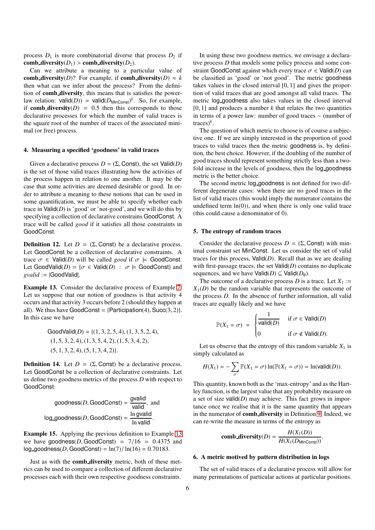process  $D_1$  is more combinatorial diverse that process  $D_2$  if comb diversity( $D_1$ ) > comb diversity( $D_2$ ).

Can we attribute a meaning to a particular value of comb diversity(*D*)? For example, if comb diversity(*D*)  $\approx k$ then what can we infer about the process? From the definition of comb diversity, this means that is satisfies the powerlaw relation:  $valid(D)$ ) =  $valid(D_{MinConst})^k$ . So, for example, if **comb diversity**( $D$ ) = 0.5 then this corresponds to those declarative processes for which the number of valid traces is the square root of the number of traces of the associated minimal (or free) process.

### 4. Measuring a specified 'goodness' in valid traces

Given a declarative process  $D = (\Sigma,$  Const), the set Valid(*D*) is the set of those valid traces illustrating how the activities of the process happen in relation to one another. It may be the case that some activities are deemed desirable or good. In order to attribute a meaning to these notions that can be used in some quantification, we must be able to specify whether each trace in  $Valid(D)$  is 'good' or 'not-good', and we will do this by specifying a collection of declarative constrains GoodConst. A trace will be called *good* if it satisfies all those constraints in GoodConst.

**Definition 12.** Let  $D = (\Sigma, \text{Const})$  be a declarative process. Let GoodConst be a collection of declarative constraints. A trace  $\sigma \in \text{Valid}(D)$  will be called *good* if  $\sigma \models \text{GoodConst.}$ Let GoodValid( $D$ ) = { $\sigma \in$  Valid( $D$ ) :  $\sigma \models$  GoodConst} and *gvalid* := |GoodValid|.

<span id="page-5-0"></span>Example 13. Consider the declarative process of Example [7.](#page-2-2) Let us suppose that our notion of goodness is that activity 4 occurs and that activity 3 occurs before 2 (should they happen at all). We thus have GoodConst =  ${Participation(4), Succ(3, 2)}$ . In this case we have

GoodValid(*D*) = {
$$
(1, 3, 2, 5, 4)
$$
,  $(1, 3, 5, 2, 4)$ ,  
 $(1, 5, 3, 2, 4)$ ,  $(1, 3, 5, 4, 2)$ ,  $(1, 5, 3, 4, 2)$ ,  
 $(5, 1, 3, 2, 4)$ ,  $(5, 1, 3, 4, 2)$ }

**Definition 14.** Let  $D = (\Sigma, \text{Const})$  be a declarative process. Let GoodConst be a collection of declarative constraints. Let us define two goodness metrics of the process *D* with respect to GoodConst:

goodness(D, GoodConst) = 
$$
\frac{\text{gvalid}}{\text{valid}}
$$
, and  
log.google(S, GoodConst) =  $\frac{\text{ln gvalid}}{\text{ln valid}}$ .

Example 15. Applying the previous definition to Example [13](#page-5-0) we have goodness( $D$ , GoodConst) =  $7/16$  = 0.4375 and  $log_{10}$ goodness(*D*, GoodConst) =  $ln(7)/ ln(16) = 0.70183$ .

Just as with the comb diversity metric, both of these metrics can be used to compare a collection of different declarative processes each with their own respective goodness constraints.

In using these two goodness metrics, we envisage a declarative process *D* that models some policy process and some constraint GoodConst against which every trace  $\sigma \in \text{Valid}(D)$  can be classified as 'good' or 'not good'. The metric goodness takes values in the closed interval [0, 1] and gives the proportion of valid traces that are good amongst all valid traces. The metric log goodness also takes values in the closed interval [0, 1] and produces a number  $k$  that relates the two quantities in terms of a power law: number of good traces ∼ (number of traces)*<sup>k</sup>* .

The question of which metric to choose is of course a subjective one. If we are simply interested in the proportion of good traces to valid traces then the metric goodness is, by definition, the best choice. However, if the doubling of the number of good traces should represent something strictly less than a twofold increase in the levels of goodness, then the log goodness metric is the better choice.

The second metric log goodness is not defined for two different degenerate cases: when there are no good traces in the list of valid traces (this would imply the numerator contains the undefined term  $ln(0)$ , and when there is only one valid trace (this could cause a denominator of 0).

### 5. The entropy of random traces

Consider the declarative process  $D = (\Sigma,$  Const) with minimal constraint set MinConst. Let us consider the set of valid traces for this process,  $Valid(D)$ . Recall that as we are dealing with first-passage traces, the set  $Val(d(D))$  contains no duplicate sequences, and we have  $Valid(D) \subseteq Valid(D<sub>0</sub>)$ .

The outcome of a declarative process *D* is a trace. Let  $X_1 :=$  $X_1(D)$  be the random variable that represents the outcome of the process *D*. In the absence of further information, all valid traces are equally likely and we have

$$
\mathbb{P}(X_1 = \sigma) = \begin{cases} \frac{1}{\text{valid}(D)} & \text{if } \sigma \in \text{Valid}(D) \\ 0 & \text{if } \sigma \notin \text{Valid}(D). \end{cases}
$$

Let us observe that the entropy of this random variable  $X_1$  is simply calculated as

$$
H(X_1) = -\sum_{\sigma} \mathbb{P}(X_1 = \sigma) \ln(\mathbb{P}(X_1 = \sigma)) = \ln(\text{valid}(D)).
$$

This quantity, known both as the 'max-entropy' and as the Hartley function, is the largest value that any probability measure on a set of size valid(*D*) may achieve. This fact grows in importance once we realise that it is the same quantity that appears in the numerator of **comb\_diversity** in Definition [9.](#page-4-0) Indeed, we can re-write the measure in terms of the entropy as

comb-diversity(D) = 
$$
\frac{H(X_1(D))}{H(X_1(D_{\text{MinConst}}))}.
$$

#### 6. A metric motived by pattern distribution in logs

The set of valid traces of a declarative process will allow for many permutations of particular actions at particular positions.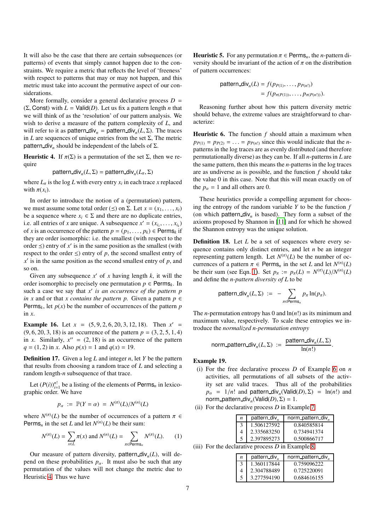It will also be the case that there are certain subsequences (or patterns) of events that simply cannot happen due to the constraints. We require a metric that reflects the level of 'freeness' with respect to patterns that may or may not happen, and this metric must take into account the permutive aspect of our considerations.

More formally, consider a general declarative process  $D =$ (Σ, Const) with *L* = Valid(*D*). Let us fix a pattern length *n* that we will think of as the 'resolution' of our pattern analysis. We wish to derive a measure of the pattern complexity of *L*, and will refer to it as pattern\_div<sub>n</sub> = pattern\_div<sub>n</sub>( $L$ , $\Sigma$ ). The traces in *L* are sequences of unique entries from the set  $\Sigma$ , The metric pattern div<sub>n</sub> should be independent of the labels of  $\Sigma$ .

<span id="page-6-0"></span>**Heuristic 4.** If  $\pi$ (Σ) is a permutation of the set Σ, then we require

$$
pattern\_div_n(L, \Sigma) = pattern\_div_n(L_\pi, \Sigma)
$$

where  $L_{\pi}$  is the log *L* with every entry  $x_i$  in each trace *x* replaced with  $\pi(x_i)$ .

In order to introduce the notion of a (permutation) pattern, we must assume some total order ( $\leq$ ) on  $\Sigma$ . Let  $x = (x_1, \ldots, x_t)$ be a sequence where  $x_i \in \Sigma$  and there are no duplicate entries, i.e. all entries of *x* are unique. A subsequence  $x' = (x_{i_1}, \ldots, x_{i_k})$ of *x* is an occurrence of the pattern  $p = (p_1, \ldots, p_k) \in \text{Perms}_k$  if they are order isomorphic: i.e. the smallest (with respect to the order  $\leq$ ) entry of  $x'$  is in the same position as the smallest (with respect to the order  $\leq$ ) entry of *p*, the second smallest entry of  $x'$  is in the same position as the second smallest entry of  $p$ , and so on.

Given any subsequence  $x'$  of  $x$  having length  $k$ , it will the order isomorphic to precisely one permutation  $p \in \text{Perms}_k$ . In such a case we say that *x* ′ *is an occurrence of the pattern p in x* and or that *x contains the pattern p*. Given a pattern  $p \in$ Perms<sub>*k*</sub>, let  $p(x)$  be the number of occurrences of the pattern *p* in *x*.

**Example 16.** Let  $x = (5, 9, 2, 6, 20, 3, 12, 18)$ . Then  $x' =$  $(9, 6, 20, 3, 18)$  is an occurrence of the pattern  $p = (3, 2, 5, 1, 4)$ in *x*. Similarly,  $x'' = (2, 18)$  is an occurrence of the pattern  $q = (1, 2)$  in *x*. Also  $p(x) = 1$  and  $q(x) = 19$ .

Definition 17. Given a log *L* and integer *n*, let *Y* be the pattern that results from choosing a random trace of *L* and selecting a random length-*n* subsequence of that trace.

Let  $(P(i))_{i=1}^{n!}$  be a listing of the elements of Perms<sub>*n*</sub> in lexicographic order. We have

$$
p_{\alpha} := \mathbb{P}(Y = \alpha) = N^{(\pi)}(L)/N^{(n)}(L)
$$

where  $N^{(\pi)}(L)$  be the number of occurrences of a pattern  $\pi \in$ Perms<sub>n</sub> in the set *L* and let  $N^{(n)}(L)$  be their sum:

$$
N^{(\pi)}(L) = \sum_{x \in L} \pi(x) \text{ and } N^{(n)}(L) = \sum_{\pi \in \text{Perms}_n} N^{(\pi)}(L). \tag{1}
$$

Our measure of pattern diversity, pattern div*<sup>n</sup>* (*L*), will depend on these probabilities  $p_\alpha$ . It must also be such that any permutation of the values will not change the metric due to Heuristic [4.](#page-6-0) Thus we have

**Heuristic 5.** For any permutation  $\pi \in \text{Perms}_n$ , the *n*-pattern diversity should be invariant of the action of  $\pi$  on the distribution of pattern occurrences:

$$
\begin{aligned} \text{pattern\_div}_n(L) &= f(p_{P(1)}, \dots, p_{P(n!)}) \\ &= f(p_{\pi(P(1))}, \dots, p_{\pi(P(n!))}). \end{aligned}
$$

Reasoning further about how this pattern diversity metric should behave, the extreme values are straightforward to characterize:

Heuristic 6. The function *f* should attain a maximum when  $p_{P(1)} = p_{P(2)} = \ldots = p_{P(n!)}$  since this would indicate that the *n*patterns in the log traces are as evenly distributed (and therefore permutationally diverse) as they can be. If all *n*-patterns in *L* are the same pattern, then this means the *n*-patterns in the log traces are as undiverse as is possible, and the function *f* should take the value 0 in this case. Note that this will mean exactly on of the  $p_{\alpha} = 1$  and all others are 0.

These heuristics provide a compelling argument for choosing the entropy of the random variable *Y* to be the function *f* (on which pattern  $div_n$  is based). They form a subset of the axioms proposed by Shannon in [\[11](#page-7-14)] and for which he showed the Shannon entropy was the unique solution.

**Definition 18.** Let *L* be a set of sequences where every sequence contains only distinct entries, and let *n* be an integer representing pattern length. Let  $N^{(\pi)}(L)$  be the number of occurrences of a pattern  $\pi \in \text{Perms}_n$  in the set *L* and let  $N^{(n)}(L)$ be their sum (see Eqn. [1\)](#page-6-1). Set  $p_{\pi} := p_{\pi}(L) = N^{(\pi)}(L)/N^{(n)}(L)$ and define the *n-pattern diversity of L* to be

$$
\text{pattern\_div}_n(L, \Sigma) \ := \ - \sum_{\pi \in \text{Perms}_n} p_{\pi} \ln(p_{\pi}).
$$

The *n*-permutation entropy has 0 and  $ln(n!)$  as its minimum and maximum value, respectively. To scale these entropies we introduce the *normalized n-permutation entropy*

norm-parttern\\_div<sub>n</sub>(
$$
L
$$
,  $\Sigma$ ) :=  $\frac{\text{pattern\_divn( $L$ ,  $\Sigma$ )}{\ln(n!)}$ .

# Example 19.

- (i) For the free declarative process *D* of Example [6](#page-2-1) on *n* activities, all permutations of all subsets of the activity set are valid traces. Thus all of the probabilities  $p_{\alpha}$  = 1/*n*! and pattern\_div<sub>n</sub>(Valid(*D*),  $\Sigma$ ) = ln(*n*!) and norm\_pattern\_div<sub>n</sub>(Valid(D),  $\Sigma$ ) = 1.
- (ii) For the declarative process *D* in Example [7:](#page-2-2)

| n | pattern_div <sub>n</sub> | norm_pattern_div" |
|---|--------------------------|-------------------|
|   | 1.506127592              | 0.840585814       |
|   | 2.335683250              | 0.734941374       |
|   | 2.397895273              | 0.500866717       |

<span id="page-6-1"></span>(iii) For the declarative process *D* in Example [8:](#page-2-0)

| $\boldsymbol{n}$ | pattern_div <sub>r</sub> | norm_pattern_div <sub>n</sub> |
|------------------|--------------------------|-------------------------------|
|                  | 1.360117844              | 0.759096222                   |
|                  | 2.304788489              | 0.725220091                   |
|                  | 3.277594190              | 0.684616155                   |